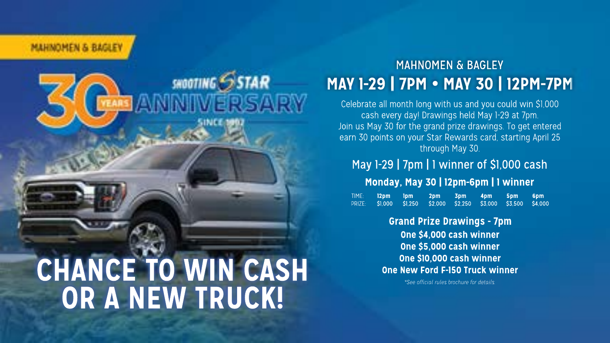MAUSONESI & DAGIE

# SHOOTING STAR **CHANCE TO WIN CASH OR A NEW TRUCK!**

### **MAY1-29|7PM MAY30|12PM-7PM** MAHNOMEN & BAGLEY

Celebrate all month long with us and you could win \$1,000 cash every day! Drawings held May 1-29 at 7pm. Join us May 30 for the grand prize drawings. To get entered earn 30 points on your Star Rewards card, starting April 25 through May 30.

May 1-29 | 7pm | 1 winner of \$1,000 cash TIME: **12pm 1pm 2pm 3pm 4pm 5pm 6pm** PRIZE: \$1,000 \$1,250 \$2,000 \$2,250 \$3,000 \$3,500 \$4,000 Monday, May 30 | 12pm-6pm | 1 winner

> **One\$4,000cashwinner One\$5,000cashwinner One\$10,000cashwinner One New Ford F-150 Truck winner Grand Prize Drawings - 7pm**